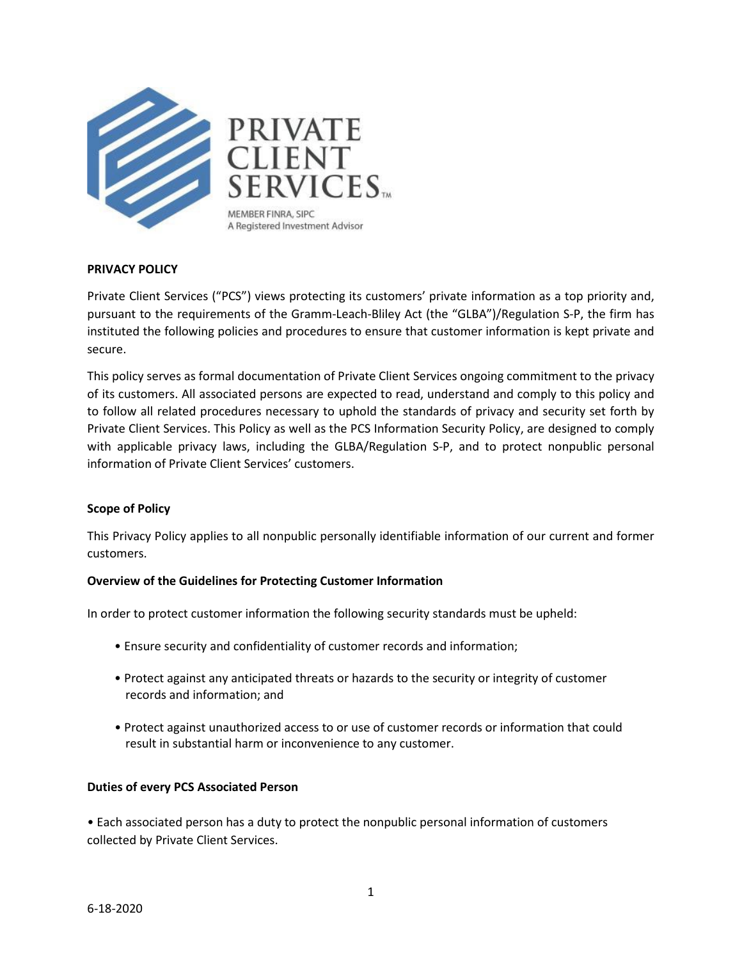

# **PRIVACY POLICY**

Private Client Services ("PCS") views protecting its customers' private information as a top priority and, pursuant to the requirements of the Gramm-Leach-Bliley Act (the "GLBA")/Regulation S-P, the firm has instituted the following policies and procedures to ensure that customer information is kept private and secure.

This policy serves as formal documentation of Private Client Services ongoing commitment to the privacy of its customers. All associated persons are expected to read, understand and comply to this policy and to follow all related procedures necessary to uphold the standards of privacy and security set forth by Private Client Services. This Policy as well as the PCS Information Security Policy, are designed to comply with applicable privacy laws, including the GLBA/Regulation S-P, and to protect nonpublic personal information of Private Client Services' customers.

## **Scope of Policy**

This Privacy Policy applies to all nonpublic personally identifiable information of our current and former customers.

## **Overview of the Guidelines for Protecting Customer Information**

In order to protect customer information the following security standards must be upheld:

- Ensure security and confidentiality of customer records and information;
- Protect against any anticipated threats or hazards to the security or integrity of customer records and information; and
- Protect against unauthorized access to or use of customer records or information that could result in substantial harm or inconvenience to any customer.

#### **Duties of every PCS Associated Person**

• Each associated person has a duty to protect the nonpublic personal information of customers collected by Private Client Services.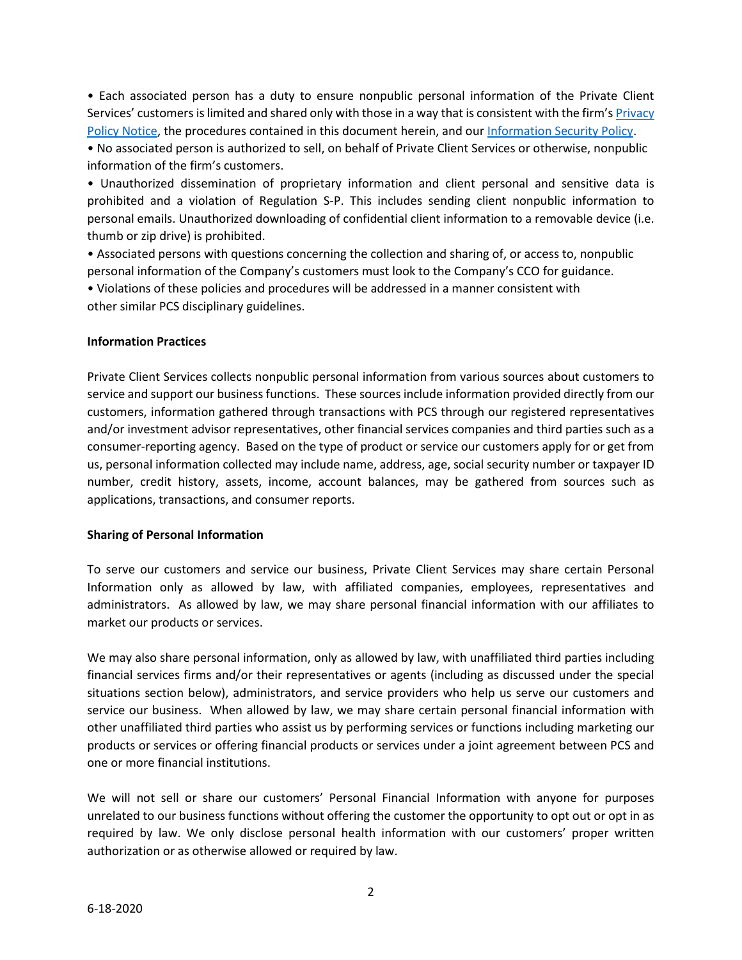• Each associated person has a duty to ensure nonpublic personal information of the Private Client Services' customers is limited and shared only with those in a way that is consistent with the firm'[s Privacy](https://pcsbd.net/wp-content/uploads/2017/11/PCS-Privacy-Policy.pdf)  [Policy Notice,](https://pcsbd.net/wp-content/uploads/2017/11/PCS-Privacy-Policy.pdf) the procedures contained in this document herein, and our [Information Security Policy.](https://pcsbd.net/wp-content/uploads/2019/02/PCS-Information-Security-Policy.pdf)

• No associated person is authorized to sell, on behalf of Private Client Services or otherwise, nonpublic information of the firm's customers.

• Unauthorized dissemination of proprietary information and client personal and sensitive data is prohibited and a violation of Regulation S-P. This includes sending client nonpublic information to personal emails. Unauthorized downloading of confidential client information to a removable device (i.e. thumb or zip drive) is prohibited.

• Associated persons with questions concerning the collection and sharing of, or access to, nonpublic personal information of the Company's customers must look to the Company's CCO for guidance.

• Violations of these policies and procedures will be addressed in a manner consistent with other similar PCS disciplinary guidelines.

## **Information Practices**

Private Client Services collects nonpublic personal information from various sources about customers to service and support our business functions. These sources include information provided directly from our customers, information gathered through transactions with PCS through our registered representatives and/or investment advisor representatives, other financial services companies and third parties such as a consumer-reporting agency. Based on the type of product or service our customers apply for or get from us, personal information collected may include name, address, age, social security number or taxpayer ID number, credit history, assets, income, account balances, may be gathered from sources such as applications, transactions, and consumer reports.

## **Sharing of Personal Information**

To serve our customers and service our business, Private Client Services may share certain Personal Information only as allowed by law, with affiliated companies, employees, representatives and administrators. As allowed by law, we may share personal financial information with our affiliates to market our products or services.

We may also share personal information, only as allowed by law, with unaffiliated third parties including financial services firms and/or their representatives or agents (including as discussed under the special situations section below), administrators, and service providers who help us serve our customers and service our business. When allowed by law, we may share certain personal financial information with other unaffiliated third parties who assist us by performing services or functions including marketing our products or services or offering financial products or services under a joint agreement between PCS and one or more financial institutions.

We will not sell or share our customers' Personal Financial Information with anyone for purposes unrelated to our business functions without offering the customer the opportunity to opt out or opt in as required by law. We only disclose personal health information with our customers' proper written authorization or as otherwise allowed or required by law.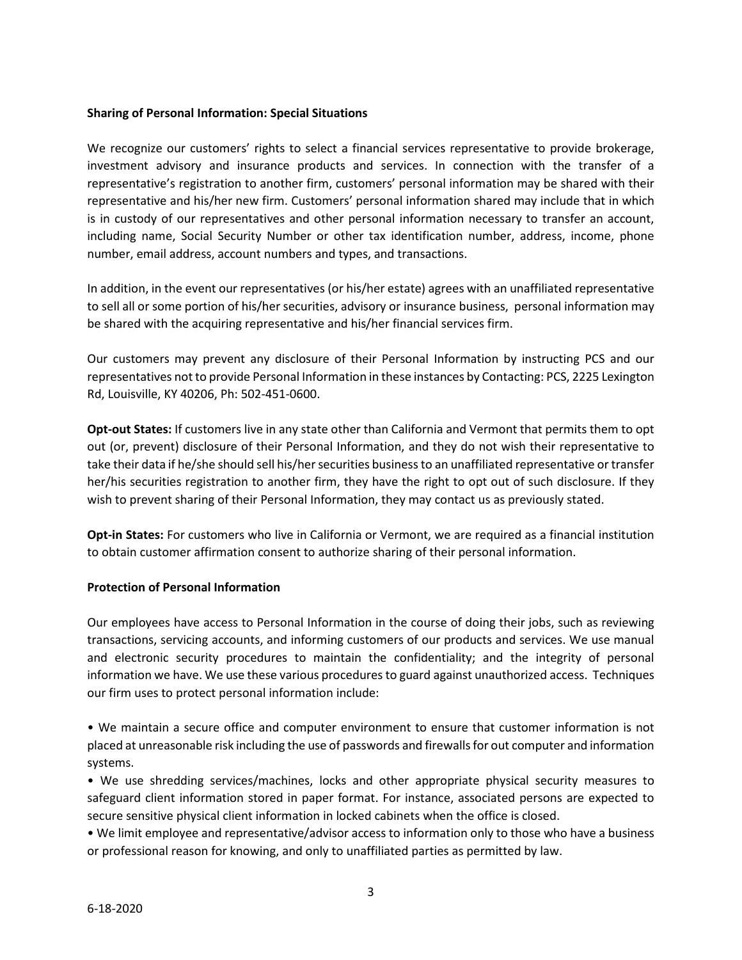## **Sharing of Personal Information: Special Situations**

We recognize our customers' rights to select a financial services representative to provide brokerage, investment advisory and insurance products and services. In connection with the transfer of a representative's registration to another firm, customers' personal information may be shared with their representative and his/her new firm. Customers' personal information shared may include that in which is in custody of our representatives and other personal information necessary to transfer an account, including name, Social Security Number or other tax identification number, address, income, phone number, email address, account numbers and types, and transactions.

In addition, in the event our representatives (or his/her estate) agrees with an unaffiliated representative to sell all or some portion of his/her securities, advisory or insurance business, personal information may be shared with the acquiring representative and his/her financial services firm.

Our customers may prevent any disclosure of their Personal Information by instructing PCS and our representatives not to provide Personal Information in these instances by Contacting: PCS, 2225 Lexington Rd, Louisville, KY 40206, Ph: 502-451-0600.

**Opt-out States:** If customers live in any state other than California and Vermont that permits them to opt out (or, prevent) disclosure of their Personal Information, and they do not wish their representative to take their data if he/she should sell his/hersecurities business to an unaffiliated representative or transfer her/his securities registration to another firm, they have the right to opt out of such disclosure. If they wish to prevent sharing of their Personal Information, they may contact us as previously stated.

**Opt-in States:** For customers who live in California or Vermont, we are required as a financial institution to obtain customer affirmation consent to authorize sharing of their personal information.

## **Protection of Personal Information**

Our employees have access to Personal Information in the course of doing their jobs, such as reviewing transactions, servicing accounts, and informing customers of our products and services. We use manual and electronic security procedures to maintain the confidentiality; and the integrity of personal information we have. We use these various procedures to guard against unauthorized access. Techniques our firm uses to protect personal information include:

• We maintain a secure office and computer environment to ensure that customer information is not placed at unreasonable risk including the use of passwords and firewalls for out computer and information systems.

• We use shredding services/machines, locks and other appropriate physical security measures to safeguard client information stored in paper format. For instance, associated persons are expected to secure sensitive physical client information in locked cabinets when the office is closed.

• We limit employee and representative/advisor access to information only to those who have a business or professional reason for knowing, and only to unaffiliated parties as permitted by law.